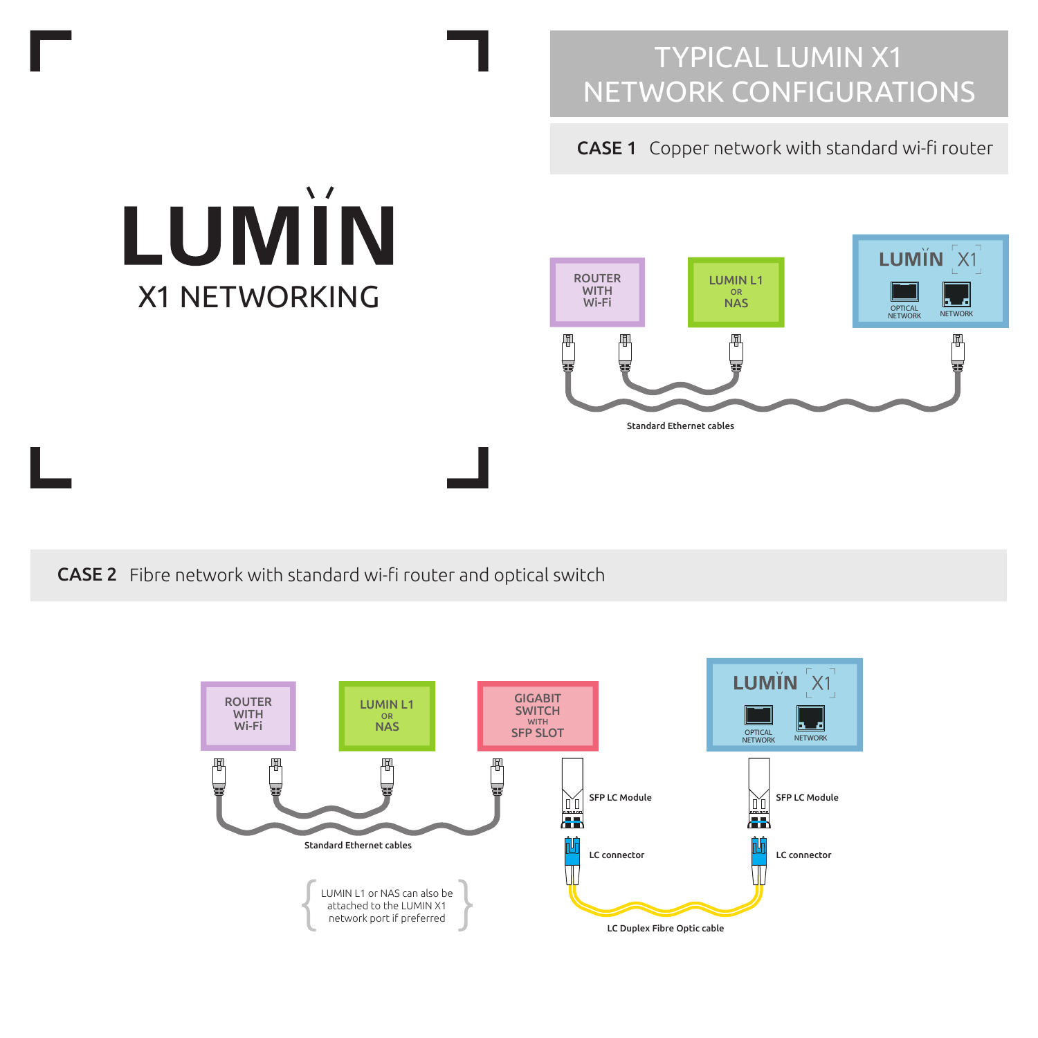# CASE 1 Copper network with standard wi-fi router



CASE 2 Fibre network with standard wi-fi router and optical switch

X1 NETWORKING

LUMÏN

 $\Delta$